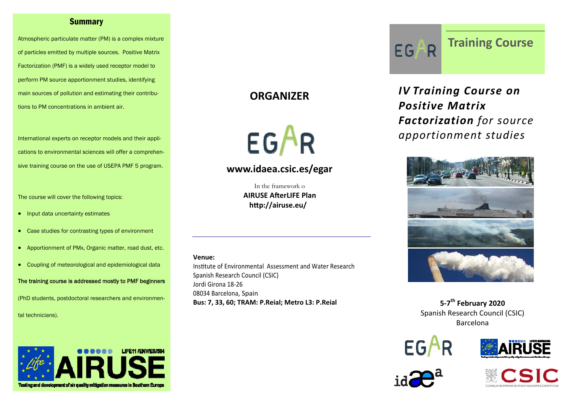#### Summary

Atmospheric particulate matter (PM) is a complex mixture of particles emitted by multiple sources. Positive Matrix Factorization (PMF) is a widely used receptor model to perform PM source apportionment studies, identifying main sources of pollution and estimating their contributions to PM concentrations in ambient air.

International experts on receptor models and their applications to environmental sciences will offer a comprehensive training course on the use of USEPA PMF 5 program.

The course will cover the following topics:

- Input data uncertainty estimates
- Case studies for contrasting types of environment
- Apportionment of PMx, Organic matter, road dust, etc.
- Coupling of meteorological and epidemiological data

The training course is addressed mostly to PMF beginners

(PhD students, postdoctoral researchers and environmen-

tal technicians).



## **ORGANIZER**

EGAR

## **www.idaea.csic.es/egar**

In the framework o **AIRUSE AŌerLIFE PlanhƩp://airuse.eu/**

#### **Venue:**

Institute of Environmental Assessment and Water Research Spanish Research Council (CSIC) Jordi Girona 18‐26 08034 Barcelona, Spain **Bus: 7, 33, 60; TRAM: P.Reial; Metro L3: P.Reial**



**Training Course**

*IV Training Course on Positive Matrix Factorization for source apportionment studies*



**<sup>5</sup>‐7th February <sup>2020</sup>** Spanish Research Council (CSIC) Barcelona